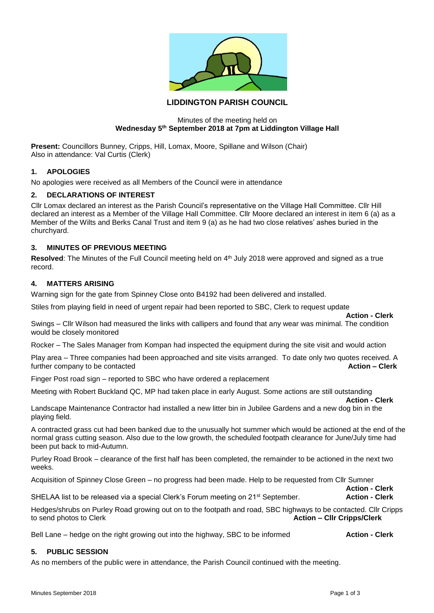

# **LIDDINGTON PARISH COUNCIL**

### Minutes of the meeting held on **Wednesday 5th September 2018 at 7pm at Liddington Village Hall**

**Present:** Councillors Bunney, Cripps, Hill, Lomax, Moore, Spillane and Wilson (Chair) Also in attendance: Val Curtis (Clerk)

# **1. APOLOGIES**

No apologies were received as all Members of the Council were in attendance

# **2. DECLARATIONS OF INTEREST**

Cllr Lomax declared an interest as the Parish Council's representative on the Village Hall Committee. Cllr Hill declared an interest as a Member of the Village Hall Committee. Cllr Moore declared an interest in item 6 (a) as a Member of the Wilts and Berks Canal Trust and item 9 (a) as he had two close relatives' ashes buried in the churchyard.

# **3. MINUTES OF PREVIOUS MEETING**

Resolved: The Minutes of the Full Council meeting held on 4<sup>th</sup> July 2018 were approved and signed as a true record.

# **4. MATTERS ARISING**

Warning sign for the gate from Spinney Close onto B4192 had been delivered and installed.

Stiles from playing field in need of urgent repair had been reported to SBC, Clerk to request update

**Action - Clerk** Swings – Cllr Wilson had measured the links with callipers and found that any wear was minimal. The condition would be closely monitored

Rocker – The Sales Manager from Kompan had inspected the equipment during the site visit and would action

Play area – Three companies had been approached and site visits arranged. To date only two quotes received. A further company to be contacted **Action – Clerk**

Finger Post road sign – reported to SBC who have ordered a replacement

Meeting with Robert Buckland QC, MP had taken place in early August. Some actions are still outstanding

**Action - Clerk** Landscape Maintenance Contractor had installed a new litter bin in Jubilee Gardens and a new dog bin in the playing field.

A contracted grass cut had been banked due to the unusually hot summer which would be actioned at the end of the normal grass cutting season. Also due to the low growth, the scheduled footpath clearance for June/July time had been put back to mid-Autumn.

Purley Road Brook – clearance of the first half has been completed, the remainder to be actioned in the next two weeks.

Acquisition of Spinney Close Green – no progress had been made. Help to be requested from Cllr Sumner

SHELAA list to be released via a special Clerk's Forum meeting on 21st September. **Action - Clerk**

Hedges/shrubs on Purley Road growing out on to the footpath and road, SBC highways to be contacted. Cllr Cripps to send photos to Clerk **Action – Cllr Cripps/Clerk**

Bell Lane – hedge on the right growing out into the highway, SBC to be informed **Action - Clerk** 

### **5. PUBLIC SESSION**

As no members of the public were in attendance, the Parish Council continued with the meeting.

**Action - Clerk**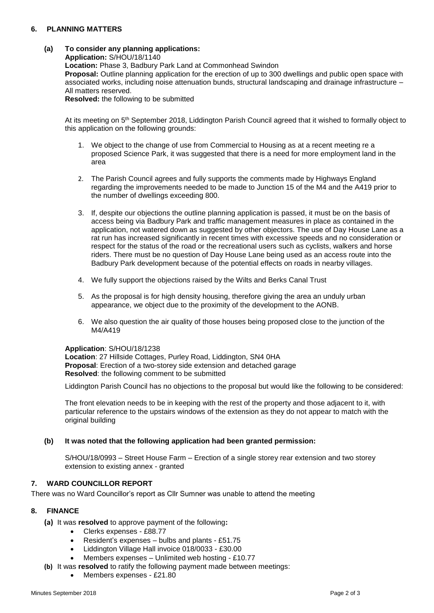# **6. PLANNING MATTERS**

# **(a) To consider any planning applications:**

**Application:** S/HOU/18/1140 **Location:** Phase 3, Badbury Park Land at Commonhead Swindon **Proposal:** Outline planning application for the erection of up to 300 dwellings and public open space with associated works, including noise attenuation bunds, structural landscaping and drainage infrastructure – All matters reserved.

**Resolved:** the following to be submitted

At its meeting on 5th September 2018, Liddington Parish Council agreed that it wished to formally object to this application on the following grounds:

- 1. We object to the change of use from Commercial to Housing as at a recent meeting re a proposed Science Park, it was suggested that there is a need for more employment land in the area
- 2. The Parish Council agrees and fully supports the comments made by Highways England regarding the improvements needed to be made to Junction 15 of the M4 and the A419 prior to the number of dwellings exceeding 800.
- 3. If, despite our objections the outline planning application is passed, it must be on the basis of access being via Badbury Park and traffic management measures in place as contained in the application, not watered down as suggested by other objectors. The use of Day House Lane as a rat run has increased significantly in recent times with excessive speeds and no consideration or respect for the status of the road or the recreational users such as cyclists, walkers and horse riders. There must be no question of Day House Lane being used as an access route into the Badbury Park development because of the potential effects on roads in nearby villages.
- 4. We fully support the objections raised by the Wilts and Berks Canal Trust
- 5. As the proposal is for high density housing, therefore giving the area an unduly urban appearance, we object due to the proximity of the development to the AONB.
- 6. We also question the air quality of those houses being proposed close to the junction of the M4/A419

### **Application**: S/HOU/18/1238

**Location**: 27 Hillside Cottages, Purley Road, Liddington, SN4 0HA **Proposal**: Erection of a two-storey side extension and detached garage **Resolved**: the following comment to be submitted

Liddington Parish Council has no objections to the proposal but would like the following to be considered:

The front elevation needs to be in keeping with the rest of the property and those adjacent to it, with particular reference to the upstairs windows of the extension as they do not appear to match with the original building

### **(b) It was noted that the following application had been granted permission:**

S/HOU/18/0993 – Street House Farm – Erection of a single storey rear extension and two storey extension to existing annex - granted

### **7. WARD COUNCILLOR REPORT**

There was no Ward Councillor's report as Cllr Sumner was unable to attend the meeting

# **8. FINANCE**

- **(a)** It was **resolved** to approve payment of the following**:**
	- Clerks expenses £88.77
	- Resident's expenses bulbs and plants £51.75
	- Liddington Village Hall invoice 018/0033 £30.00
	- Members expenses Unlimited web hosting £10.77
- **(b)** It was **resolved** to ratify the following payment made between meetings:
	- Members expenses £21.80